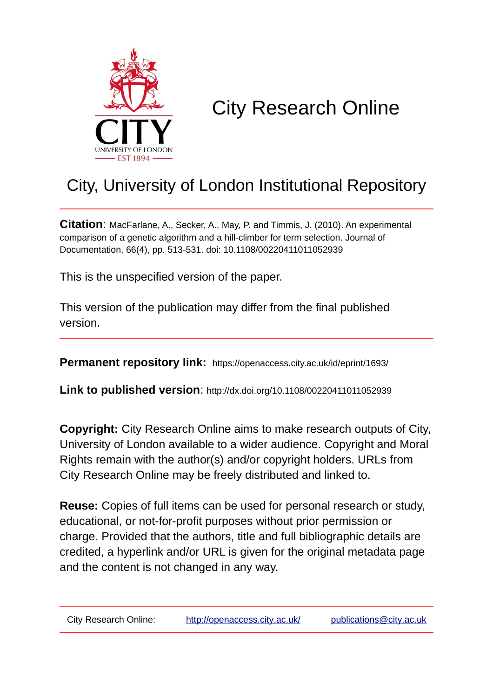

# City Research Online

## City, University of London Institutional Repository

**Citation**: MacFarlane, A., Secker, A., May, P. and Timmis, J. (2010). An experimental comparison of a genetic algorithm and a hill-climber for term selection. Journal of Documentation, 66(4), pp. 513-531. doi: 10.1108/00220411011052939

This is the unspecified version of the paper.

This version of the publication may differ from the final published version.

**Permanent repository link:** https://openaccess.city.ac.uk/id/eprint/1693/

**Link to published version**: http://dx.doi.org/10.1108/00220411011052939

**Copyright:** City Research Online aims to make research outputs of City, University of London available to a wider audience. Copyright and Moral Rights remain with the author(s) and/or copyright holders. URLs from City Research Online may be freely distributed and linked to.

**Reuse:** Copies of full items can be used for personal research or study, educational, or not-for-profit purposes without prior permission or charge. Provided that the authors, title and full bibliographic details are credited, a hyperlink and/or URL is given for the original metadata page and the content is not changed in any way.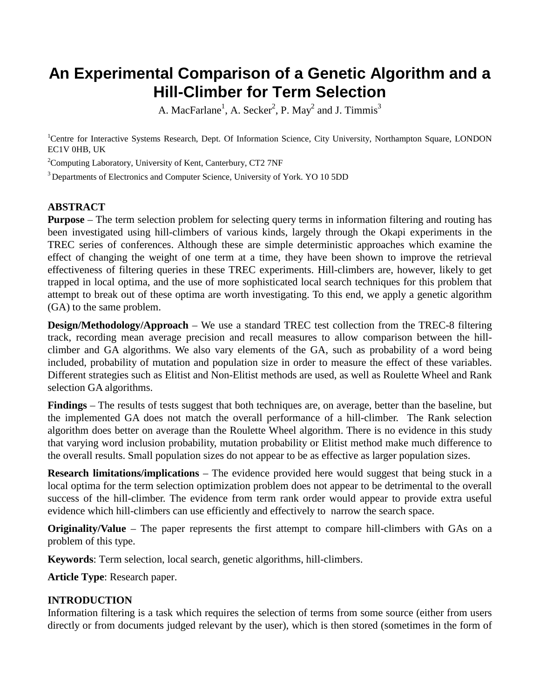## **An Experimental Comparison of a Genetic Algorithm and a Hill-Climber for Term Selection**

A. MacFarlane<sup>1</sup>, A. Secker<sup>2</sup>, P. May<sup>2</sup> and J. Timmis<sup>3</sup>

<sup>1</sup>Centre for Interactive Systems Research, Dept. Of Information Science, City University, Northampton Square, LONDON EC1V 0HB, UK

<sup>2</sup>Computing Laboratory, University of Kent, Canterbury, CT2 7NF

<sup>3</sup> Departments of Electronics and Computer Science, University of York. YO 10 5DD

#### **ABSTRACT**

**Purpose** – The term selection problem for selecting query terms in information filtering and routing has been investigated using hill-climbers of various kinds, largely through the Okapi experiments in the TREC series of conferences. Although these are simple deterministic approaches which examine the effect of changing the weight of one term at a time, they have been shown to improve the retrieval effectiveness of filtering queries in these TREC experiments. Hill-climbers are, however, likely to get trapped in local optima, and the use of more sophisticated local search techniques for this problem that attempt to break out of these optima are worth investigating. To this end, we apply a genetic algorithm (GA) to the same problem.

**Design/Methodology/Approach** – We use a standard TREC test collection from the TREC-8 filtering track, recording mean average precision and recall measures to allow comparison between the hillclimber and GA algorithms. We also vary elements of the GA, such as probability of a word being included, probability of mutation and population size in order to measure the effect of these variables. Different strategies such as Elitist and Non-Elitist methods are used, as well as Roulette Wheel and Rank selection GA algorithms.

**Findings** – The results of tests suggest that both techniques are, on average, better than the baseline, but the implemented GA does not match the overall performance of a hill-climber. The Rank selection algorithm does better on average than the Roulette Wheel algorithm. There is no evidence in this study that varying word inclusion probability, mutation probability or Elitist method make much difference to the overall results. Small population sizes do not appear to be as effective as larger population sizes.

**Research limitations/implications** – The evidence provided here would suggest that being stuck in a local optima for the term selection optimization problem does not appear to be detrimental to the overall success of the hill-climber. The evidence from term rank order would appear to provide extra useful evidence which hill-climbers can use efficiently and effectively to narrow the search space.

**Originality/Value** – The paper represents the first attempt to compare hill-climbers with GAs on a problem of this type.

**Keywords**: Term selection, local search, genetic algorithms, hill-climbers.

**Article Type**: Research paper.

#### **INTRODUCTION**

Information filtering is a task which requires the selection of terms from some source (either from users directly or from documents judged relevant by the user), which is then stored (sometimes in the form of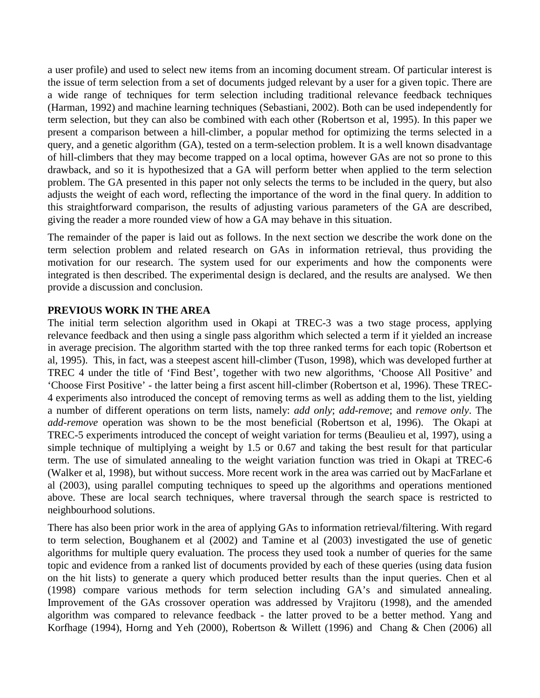a user profile) and used to select new items from an incoming document stream. Of particular interest is the issue of term selection from a set of documents judged relevant by a user for a given topic. There are a wide range of techniques for term selection including traditional relevance feedback techniques (Harman, 1992) and machine learning techniques (Sebastiani, 2002). Both can be used independently for term selection, but they can also be combined with each other (Robertson et al, 1995). In this paper we present a comparison between a hill-climber, a popular method for optimizing the terms selected in a query, and a genetic algorithm (GA), tested on a term-selection problem. It is a well known disadvantage of hill-climbers that they may become trapped on a local optima, however GAs are not so prone to this drawback, and so it is hypothesized that a GA will perform better when applied to the term selection problem. The GA presented in this paper not only selects the terms to be included in the query, but also adjusts the weight of each word, reflecting the importance of the word in the final query. In addition to this straightforward comparison, the results of adjusting various parameters of the GA are described, giving the reader a more rounded view of how a GA may behave in this situation.

The remainder of the paper is laid out as follows. In the next section we describe the work done on the term selection problem and related research on GAs in information retrieval, thus providing the motivation for our research. The system used for our experiments and how the components were integrated is then described. The experimental design is declared, and the results are analysed. We then provide a discussion and conclusion.

#### **PREVIOUS WORK IN THE AREA**

The initial term selection algorithm used in Okapi at TREC-3 was a two stage process, applying relevance feedback and then using a single pass algorithm which selected a term if it yielded an increase in average precision. The algorithm started with the top three ranked terms for each topic (Robertson et al, 1995). This, in fact, was a steepest ascent hill-climber (Tuson, 1998), which was developed further at TREC 4 under the title of 'Find Best', together with two new algorithms, 'Choose All Positive' and 'Choose First Positive' - the latter being a first ascent hill-climber (Robertson et al, 1996). These TREC-4 experiments also introduced the concept of removing terms as well as adding them to the list, yielding a number of different operations on term lists, namely: *add only*; *add-remove*; and *remove only*. The *add-remove* operation was shown to be the most beneficial (Robertson et al, 1996). The Okapi at TREC-5 experiments introduced the concept of weight variation for terms (Beaulieu et al, 1997), using a simple technique of multiplying a weight by 1.5 or 0.67 and taking the best result for that particular term. The use of simulated annealing to the weight variation function was tried in Okapi at TREC-6 (Walker et al, 1998), but without success. More recent work in the area was carried out by MacFarlane et al (2003), using parallel computing techniques to speed up the algorithms and operations mentioned above. These are local search techniques, where traversal through the search space is restricted to neighbourhood solutions.

There has also been prior work in the area of applying GAs to information retrieval/filtering. With regard to term selection, Boughanem et al (2002) and Tamine et al (2003) investigated the use of genetic algorithms for multiple query evaluation. The process they used took a number of queries for the same topic and evidence from a ranked list of documents provided by each of these queries (using data fusion on the hit lists) to generate a query which produced better results than the input queries. Chen et al (1998) compare various methods for term selection including GA's and simulated annealing. Improvement of the GAs crossover operation was addressed by Vrajitoru (1998), and the amended algorithm was compared to relevance feedback - the latter proved to be a better method. Yang and Korfhage (1994), Horng and Yeh (2000), Robertson & Willett (1996) and Chang & Chen (2006) all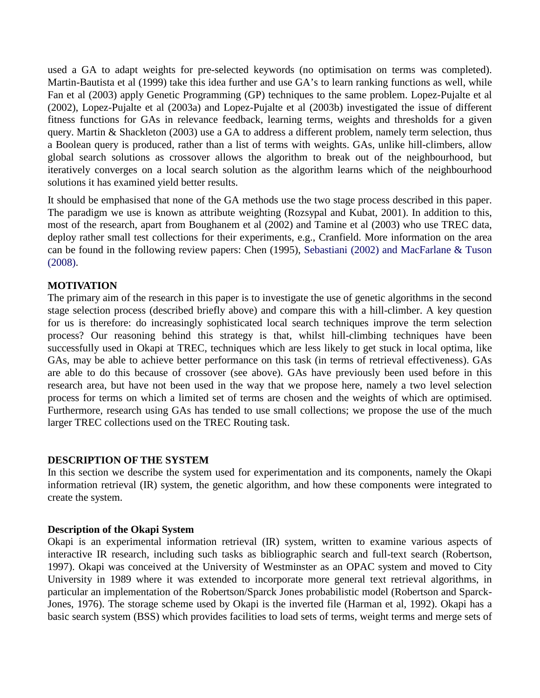used a GA to adapt weights for pre-selected keywords (no optimisation on terms was completed). Martin-Bautista et al (1999) take this idea further and use GA's to learn ranking functions as well, while Fan et al (2003) apply Genetic Programming (GP) techniques to the same problem. Lopez-Pujalte et al (2002), Lopez-Pujalte et al (2003a) and Lopez-Pujalte et al (2003b) investigated the issue of different fitness functions for GAs in relevance feedback, learning terms, weights and thresholds for a given query. Martin & Shackleton (2003) use a GA to address a different problem, namely term selection, thus a Boolean query is produced, rather than a list of terms with weights. GAs, unlike hill-climbers, allow global search solutions as crossover allows the algorithm to break out of the neighbourhood, but iteratively converges on a local search solution as the algorithm learns which of the neighbourhood solutions it has examined yield better results.

It should be emphasised that none of the GA methods use the two stage process described in this paper. The paradigm we use is known as attribute weighting (Rozsypal and Kubat, 2001). In addition to this, most of the research, apart from Boughanem et al (2002) and Tamine et al (2003) who use TREC data, deploy rather small test collections for their experiments, e.g., Cranfield. More information on the area can be found in the following review papers: Chen (1995), Sebastiani (2002) and MacFarlane & Tuson (2008).

#### **MOTIVATION**

The primary aim of the research in this paper is to investigate the use of genetic algorithms in the second stage selection process (described briefly above) and compare this with a hill-climber. A key question for us is therefore: do increasingly sophisticated local search techniques improve the term selection process? Our reasoning behind this strategy is that, whilst hill-climbing techniques have been successfully used in Okapi at TREC, techniques which are less likely to get stuck in local optima, like GAs, may be able to achieve better performance on this task (in terms of retrieval effectiveness). GAs are able to do this because of crossover (see above). GAs have previously been used before in this research area, but have not been used in the way that we propose here, namely a two level selection process for terms on which a limited set of terms are chosen and the weights of which are optimised. Furthermore, research using GAs has tended to use small collections; we propose the use of the much larger TREC collections used on the TREC Routing task.

#### **DESCRIPTION OF THE SYSTEM**

In this section we describe the system used for experimentation and its components, namely the Okapi information retrieval (IR) system, the genetic algorithm, and how these components were integrated to create the system.

#### **Description of the Okapi System**

Okapi is an experimental information retrieval (IR) system, written to examine various aspects of interactive IR research, including such tasks as bibliographic search and full-text search (Robertson, 1997). Okapi was conceived at the University of Westminster as an OPAC system and moved to City University in 1989 where it was extended to incorporate more general text retrieval algorithms, in particular an implementation of the Robertson/Sparck Jones probabilistic model (Robertson and Sparck-Jones, 1976). The storage scheme used by Okapi is the inverted file (Harman et al, 1992). Okapi has a basic search system (BSS) which provides facilities to load sets of terms, weight terms and merge sets of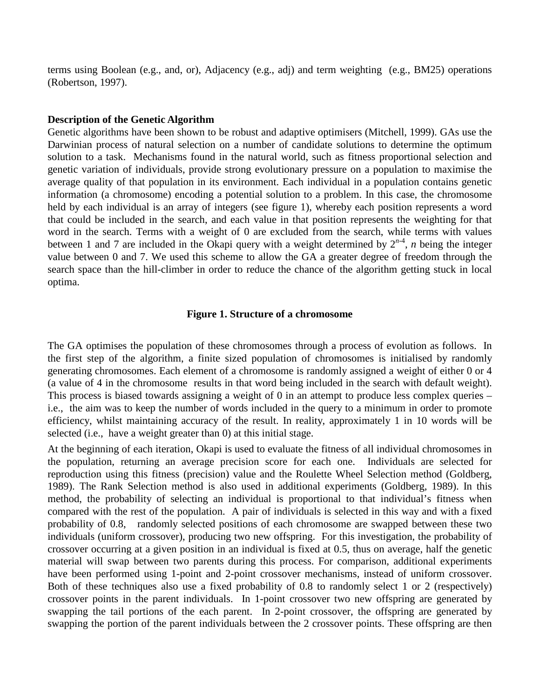terms using Boolean (e.g., and, or), Adjacency (e.g., adj) and term weighting (e.g., BM25) operations (Robertson, 1997).

#### **Description of the Genetic Algorithm**

Genetic algorithms have been shown to be robust and adaptive optimisers (Mitchell, 1999). GAs use the Darwinian process of natural selection on a number of candidate solutions to determine the optimum solution to a task. Mechanisms found in the natural world, such as fitness proportional selection and genetic variation of individuals, provide strong evolutionary pressure on a population to maximise the average quality of that population in its environment. Each individual in a population contains genetic information (a chromosome) encoding a potential solution to a problem. In this case, the chromosome held by each individual is an array of integers (see figure 1), whereby each position represents a word that could be included in the search, and each value in that position represents the weighting for that word in the search. Terms with a weight of 0 are excluded from the search, while terms with values between 1 and 7 are included in the Okapi query with a weight determined by  $2^{n-4}$ , *n* being the integer value between 0 and 7. We used this scheme to allow the GA a greater degree of freedom through the search space than the hill-climber in order to reduce the chance of the algorithm getting stuck in local optima.

#### **Figure 1. Structure of a chromosome**

The GA optimises the population of these chromosomes through a process of evolution as follows. In the first step of the algorithm, a finite sized population of chromosomes is initialised by randomly generating chromosomes. Each element of a chromosome is randomly assigned a weight of either 0 or 4 (a value of 4 in the chromosome results in that word being included in the search with default weight). This process is biased towards assigning a weight of 0 in an attempt to produce less complex queries – i.e., the aim was to keep the number of words included in the query to a minimum in order to promote efficiency, whilst maintaining accuracy of the result. In reality, approximately 1 in 10 words will be selected (i.e., have a weight greater than 0) at this initial stage.

At the beginning of each iteration, Okapi is used to evaluate the fitness of all individual chromosomes in the population, returning an average precision score for each one. Individuals are selected for reproduction using this fitness (precision) value and the Roulette Wheel Selection method (Goldberg, 1989). The Rank Selection method is also used in additional experiments (Goldberg, 1989). In this method, the probability of selecting an individual is proportional to that individual's fitness when compared with the rest of the population. A pair of individuals is selected in this way and with a fixed probability of 0.8, randomly selected positions of each chromosome are swapped between these two individuals (uniform crossover), producing two new offspring. For this investigation, the probability of crossover occurring at a given position in an individual is fixed at 0.5, thus on average, half the genetic material will swap between two parents during this process. For comparison, additional experiments have been performed using 1-point and 2-point crossover mechanisms, instead of uniform crossover. Both of these techniques also use a fixed probability of 0.8 to randomly select 1 or 2 (respectively) crossover points in the parent individuals. In 1-point crossover two new offspring are generated by swapping the tail portions of the each parent. In 2-point crossover, the offspring are generated by swapping the portion of the parent individuals between the 2 crossover points. These offspring are then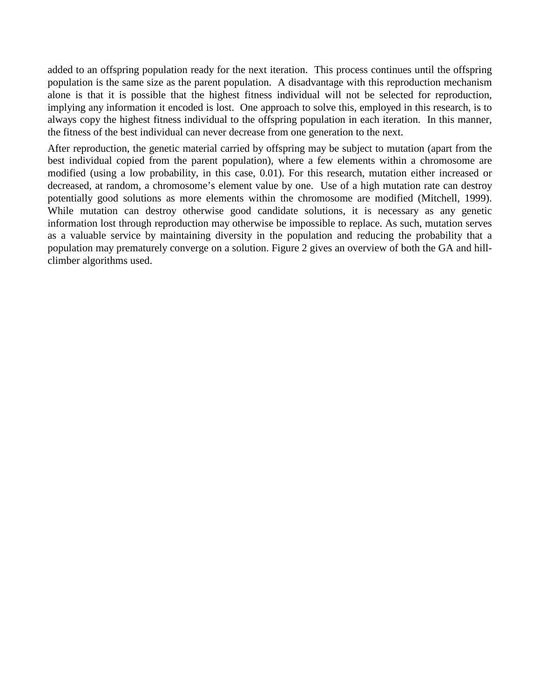added to an offspring population ready for the next iteration. This process continues until the offspring population is the same size as the parent population. A disadvantage with this reproduction mechanism alone is that it is possible that the highest fitness individual will not be selected for reproduction, implying any information it encoded is lost. One approach to solve this, employed in this research, is to always copy the highest fitness individual to the offspring population in each iteration. In this manner, the fitness of the best individual can never decrease from one generation to the next.

After reproduction, the genetic material carried by offspring may be subject to mutation (apart from the best individual copied from the parent population), where a few elements within a chromosome are modified (using a low probability, in this case, 0.01). For this research, mutation either increased or decreased, at random, a chromosome's element value by one. Use of a high mutation rate can destroy potentially good solutions as more elements within the chromosome are modified (Mitchell, 1999). While mutation can destroy otherwise good candidate solutions, it is necessary as any genetic information lost through reproduction may otherwise be impossible to replace. As such, mutation serves as a valuable service by maintaining diversity in the population and reducing the probability that a population may prematurely converge on a solution. Figure 2 gives an overview of both the GA and hillclimber algorithms used.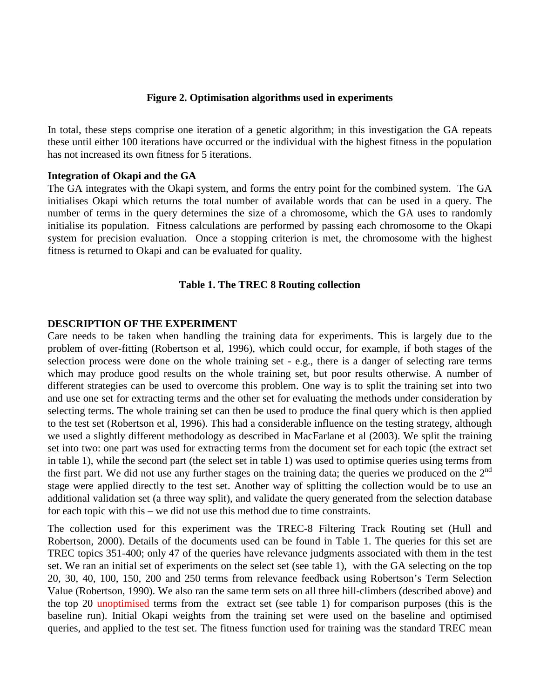#### **Figure 2. Optimisation algorithms used in experiments**

In total, these steps comprise one iteration of a genetic algorithm; in this investigation the GA repeats these until either 100 iterations have occurred or the individual with the highest fitness in the population has not increased its own fitness for 5 iterations.

#### **Integration of Okapi and the GA**

The GA integrates with the Okapi system, and forms the entry point for the combined system. The GA initialises Okapi which returns the total number of available words that can be used in a query. The number of terms in the query determines the size of a chromosome, which the GA uses to randomly initialise its population. Fitness calculations are performed by passing each chromosome to the Okapi system for precision evaluation. Once a stopping criterion is met, the chromosome with the highest fitness is returned to Okapi and can be evaluated for quality.

#### **Table 1. The TREC 8 Routing collection**

#### **DESCRIPTION OF THE EXPERIMENT**

Care needs to be taken when handling the training data for experiments. This is largely due to the problem of over-fitting (Robertson et al, 1996), which could occur, for example, if both stages of the selection process were done on the whole training set - e.g., there is a danger of selecting rare terms which may produce good results on the whole training set, but poor results otherwise. A number of different strategies can be used to overcome this problem. One way is to split the training set into two and use one set for extracting terms and the other set for evaluating the methods under consideration by selecting terms. The whole training set can then be used to produce the final query which is then applied to the test set (Robertson et al, 1996). This had a considerable influence on the testing strategy, although we used a slightly different methodology as described in MacFarlane et al (2003). We split the training set into two: one part was used for extracting terms from the document set for each topic (the extract set in table 1), while the second part (the select set in table 1) was used to optimise queries using terms from the first part. We did not use any further stages on the training data; the queries we produced on the  $2<sup>nd</sup>$ stage were applied directly to the test set. Another way of splitting the collection would be to use an additional validation set (a three way split), and validate the query generated from the selection database for each topic with this – we did not use this method due to time constraints.

The collection used for this experiment was the TREC-8 Filtering Track Routing set (Hull and Robertson, 2000). Details of the documents used can be found in Table 1. The queries for this set are TREC topics 351-400; only 47 of the queries have relevance judgments associated with them in the test set. We ran an initial set of experiments on the select set (see table 1), with the GA selecting on the top 20, 30, 40, 100, 150, 200 and 250 terms from relevance feedback using Robertson's Term Selection Value (Robertson, 1990). We also ran the same term sets on all three hill-climbers (described above) and the top 20 unoptimised terms from the extract set (see table 1) for comparison purposes (this is the baseline run). Initial Okapi weights from the training set were used on the baseline and optimised queries, and applied to the test set. The fitness function used for training was the standard TREC mean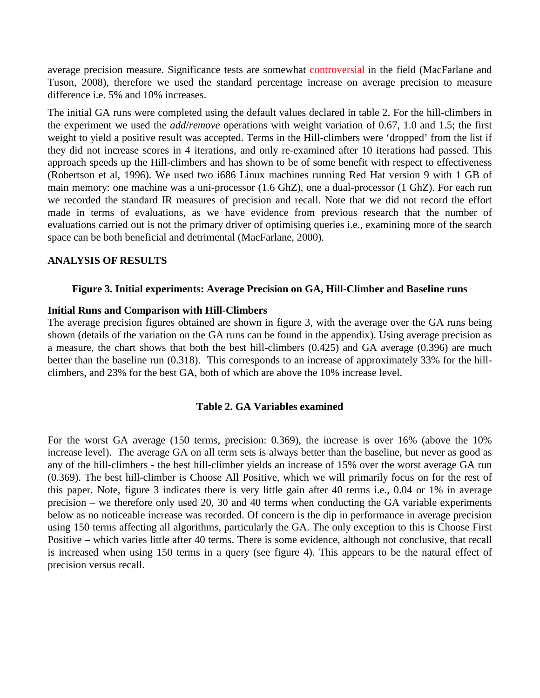average precision measure. Significance tests are somewhat controversial in the field (MacFarlane and Tuson, 2008), therefore we used the standard percentage increase on average precision to measure difference i.e. 5% and 10% increases.

The initial GA runs were completed using the default values declared in table 2. For the hill-climbers in the experiment we used the *add*/*remove* operations with weight variation of 0.67, 1.0 and 1.5; the first weight to yield a positive result was accepted. Terms in the Hill-climbers were 'dropped' from the list if they did not increase scores in 4 iterations, and only re-examined after 10 iterations had passed. This approach speeds up the Hill-climbers and has shown to be of some benefit with respect to effectiveness (Robertson et al, 1996). We used two i686 Linux machines running Red Hat version 9 with 1 GB of main memory: one machine was a uni-processor (1.6 GhZ), one a dual-processor (1 GhZ). For each run we recorded the standard IR measures of precision and recall. Note that we did not record the effort made in terms of evaluations, as we have evidence from previous research that the number of evaluations carried out is not the primary driver of optimising queries i.e., examining more of the search space can be both beneficial and detrimental (MacFarlane, 2000).

#### **ANALYSIS OF RESULTS**

#### **Figure 3. Initial experiments: Average Precision on GA, Hill-Climber and Baseline runs**

#### **Initial Runs and Comparison with Hill-Climbers**

The average precision figures obtained are shown in figure 3, with the average over the GA runs being shown (details of the variation on the GA runs can be found in the appendix). Using average precision as a measure, the chart shows that both the best hill-climbers (0.425) and GA average (0.396) are much better than the baseline run (0.318). This corresponds to an increase of approximately 33% for the hillclimbers, and 23% for the best GA, both of which are above the 10% increase level.

#### **Table 2. GA Variables examined**

For the worst GA average (150 terms, precision: 0.369), the increase is over 16% (above the 10% increase level). The average GA on all term sets is always better than the baseline, but never as good as any of the hill-climbers - the best hill-climber yields an increase of 15% over the worst average GA run (0.369). The best hill-climber is Choose All Positive, which we will primarily focus on for the rest of this paper. Note, figure 3 indicates there is very little gain after 40 terms i.e., 0.04 or 1% in average precision – we therefore only used 20, 30 and 40 terms when conducting the GA variable experiments below as no noticeable increase was recorded. Of concern is the dip in performance in average precision using 150 terms affecting all algorithms, particularly the GA. The only exception to this is Choose First Positive – which varies little after 40 terms. There is some evidence, although not conclusive, that recall is increased when using 150 terms in a query (see figure 4). This appears to be the natural effect of precision versus recall.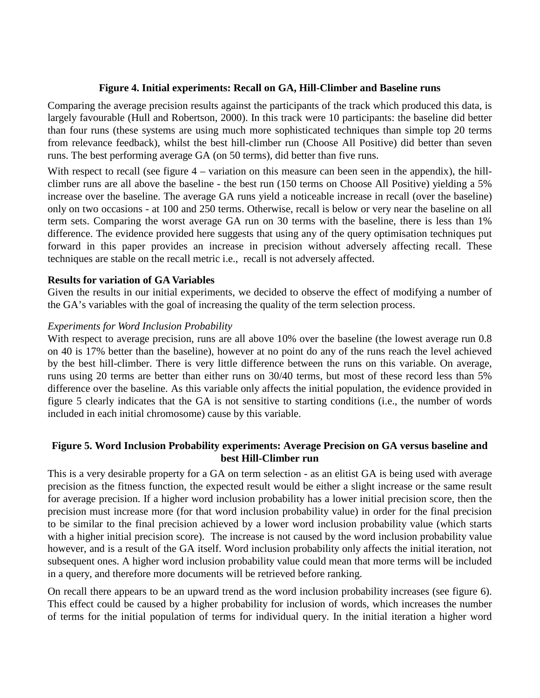#### **Figure 4. Initial experiments: Recall on GA, Hill-Climber and Baseline runs**

Comparing the average precision results against the participants of the track which produced this data, is largely favourable (Hull and Robertson, 2000). In this track were 10 participants: the baseline did better than four runs (these systems are using much more sophisticated techniques than simple top 20 terms from relevance feedback), whilst the best hill-climber run (Choose All Positive) did better than seven runs. The best performing average GA (on 50 terms), did better than five runs.

With respect to recall (see figure 4 – variation on this measure can been seen in the appendix), the hillclimber runs are all above the baseline - the best run (150 terms on Choose All Positive) yielding a 5% increase over the baseline. The average GA runs yield a noticeable increase in recall (over the baseline) only on two occasions - at 100 and 250 terms. Otherwise, recall is below or very near the baseline on all term sets. Comparing the worst average GA run on 30 terms with the baseline, there is less than 1% difference. The evidence provided here suggests that using any of the query optimisation techniques put forward in this paper provides an increase in precision without adversely affecting recall. These techniques are stable on the recall metric i.e., recall is not adversely affected.

#### **Results for variation of GA Variables**

Given the results in our initial experiments, we decided to observe the effect of modifying a number of the GA's variables with the goal of increasing the quality of the term selection process.

#### *Experiments for Word Inclusion Probability*

With respect to average precision, runs are all above 10% over the baseline (the lowest average run 0.8) on 40 is 17% better than the baseline), however at no point do any of the runs reach the level achieved by the best hill-climber. There is very little difference between the runs on this variable. On average, runs using 20 terms are better than either runs on 30/40 terms, but most of these record less than 5% difference over the baseline. As this variable only affects the initial population, the evidence provided in figure 5 clearly indicates that the GA is not sensitive to starting conditions (i.e., the number of words included in each initial chromosome) cause by this variable.

#### **Figure 5. Word Inclusion Probability experiments: Average Precision on GA versus baseline and best Hill-Climber run**

This is a very desirable property for a GA on term selection - as an elitist GA is being used with average precision as the fitness function, the expected result would be either a slight increase or the same result for average precision. If a higher word inclusion probability has a lower initial precision score, then the precision must increase more (for that word inclusion probability value) in order for the final precision to be similar to the final precision achieved by a lower word inclusion probability value (which starts with a higher initial precision score). The increase is not caused by the word inclusion probability value however, and is a result of the GA itself. Word inclusion probability only affects the initial iteration, not subsequent ones. A higher word inclusion probability value could mean that more terms will be included in a query, and therefore more documents will be retrieved before ranking.

On recall there appears to be an upward trend as the word inclusion probability increases (see figure 6). This effect could be caused by a higher probability for inclusion of words, which increases the number of terms for the initial population of terms for individual query. In the initial iteration a higher word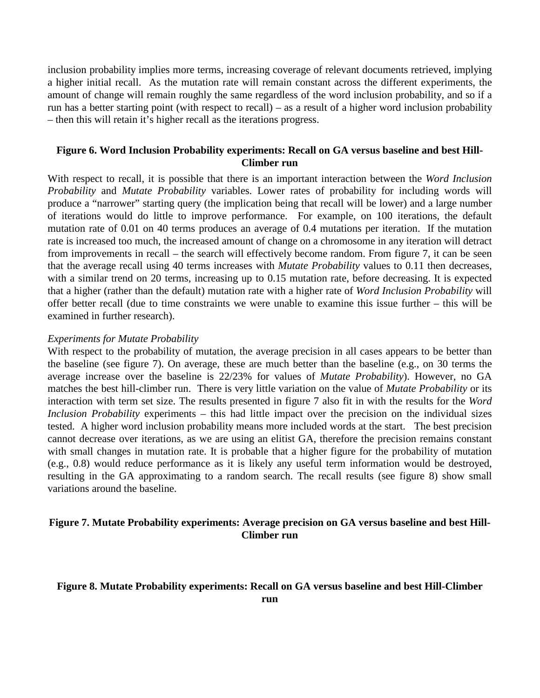inclusion probability implies more terms, increasing coverage of relevant documents retrieved, implying a higher initial recall. As the mutation rate will remain constant across the different experiments, the amount of change will remain roughly the same regardless of the word inclusion probability, and so if a run has a better starting point (with respect to recall) – as a result of a higher word inclusion probability – then this will retain it's higher recall as the iterations progress.

#### **Figure 6. Word Inclusion Probability experiments: Recall on GA versus baseline and best Hill-Climber run**

With respect to recall, it is possible that there is an important interaction between the *Word Inclusion Probability* and *Mutate Probability* variables. Lower rates of probability for including words will produce a "narrower" starting query (the implication being that recall will be lower) and a large number of iterations would do little to improve performance. For example, on 100 iterations, the default mutation rate of 0.01 on 40 terms produces an average of 0.4 mutations per iteration. If the mutation rate is increased too much, the increased amount of change on a chromosome in any iteration will detract from improvements in recall – the search will effectively become random. From figure 7, it can be seen that the average recall using 40 terms increases with *Mutate Probability* values to 0.11 then decreases, with a similar trend on 20 terms, increasing up to 0.15 mutation rate, before decreasing. It is expected that a higher (rather than the default) mutation rate with a higher rate of *Word Inclusion Probability* will offer better recall (due to time constraints we were unable to examine this issue further – this will be examined in further research).

#### *Experiments for Mutate Probability*

With respect to the probability of mutation, the average precision in all cases appears to be better than the baseline (see figure 7). On average, these are much better than the baseline (e.g., on 30 terms the average increase over the baseline is 22/23% for values of *Mutate Probability*). However, no GA matches the best hill-climber run. There is very little variation on the value of *Mutate Probability* or its interaction with term set size. The results presented in figure 7 also fit in with the results for the *Word Inclusion Probability* experiments – this had little impact over the precision on the individual sizes tested. A higher word inclusion probability means more included words at the start. The best precision cannot decrease over iterations, as we are using an elitist GA, therefore the precision remains constant with small changes in mutation rate. It is probable that a higher figure for the probability of mutation (e.g., 0.8) would reduce performance as it is likely any useful term information would be destroyed, resulting in the GA approximating to a random search. The recall results (see figure 8) show small variations around the baseline.

#### **Figure 7. Mutate Probability experiments: Average precision on GA versus baseline and best Hill-Climber run**

#### **Figure 8. Mutate Probability experiments: Recall on GA versus baseline and best Hill-Climber run**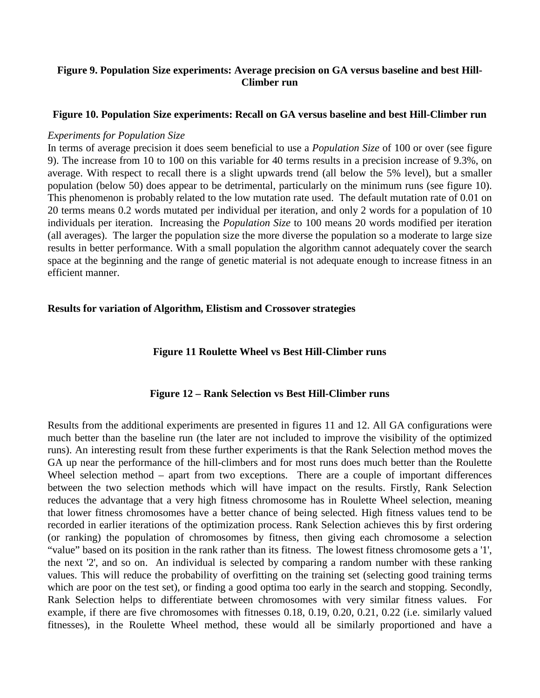#### **Figure 9. Population Size experiments: Average precision on GA versus baseline and best Hill-Climber run**

#### **Figure 10. Population Size experiments: Recall on GA versus baseline and best Hill-Climber run**

#### *Experiments for Population Size*

In terms of average precision it does seem beneficial to use a *Population Size* of 100 or over (see figure 9). The increase from 10 to 100 on this variable for 40 terms results in a precision increase of 9.3%, on average. With respect to recall there is a slight upwards trend (all below the 5% level), but a smaller population (below 50) does appear to be detrimental, particularly on the minimum runs (see figure 10). This phenomenon is probably related to the low mutation rate used. The default mutation rate of 0.01 on 20 terms means 0.2 words mutated per individual per iteration, and only 2 words for a population of 10 individuals per iteration. Increasing the *Population Size* to 100 means 20 words modified per iteration (all averages). The larger the population size the more diverse the population so a moderate to large size results in better performance. With a small population the algorithm cannot adequately cover the search space at the beginning and the range of genetic material is not adequate enough to increase fitness in an efficient manner.

#### **Results for variation of Algorithm, Elistism and Crossover strategies**

#### **Figure 11 Roulette Wheel vs Best Hill-Climber runs**

#### **Figure 12 – Rank Selection vs Best Hill-Climber runs**

Results from the additional experiments are presented in figures 11 and 12. All GA configurations were much better than the baseline run (the later are not included to improve the visibility of the optimized runs). An interesting result from these further experiments is that the Rank Selection method moves the GA up near the performance of the hill-climbers and for most runs does much better than the Roulette Wheel selection method – apart from two exceptions. There are a couple of important differences between the two selection methods which will have impact on the results. Firstly, Rank Selection reduces the advantage that a very high fitness chromosome has in Roulette Wheel selection, meaning that lower fitness chromosomes have a better chance of being selected. High fitness values tend to be recorded in earlier iterations of the optimization process. Rank Selection achieves this by first ordering (or ranking) the population of chromosomes by fitness, then giving each chromosome a selection "value" based on its position in the rank rather than its fitness. The lowest fitness chromosome gets a '1', the next '2', and so on. An individual is selected by comparing a random number with these ranking values. This will reduce the probability of overfitting on the training set (selecting good training terms which are poor on the test set), or finding a good optima too early in the search and stopping. Secondly, Rank Selection helps to differentiate between chromosomes with very similar fitness values. For example, if there are five chromosomes with fitnesses 0.18, 0.19, 0.20, 0.21, 0.22 (i.e. similarly valued fitnesses), in the Roulette Wheel method, these would all be similarly proportioned and have a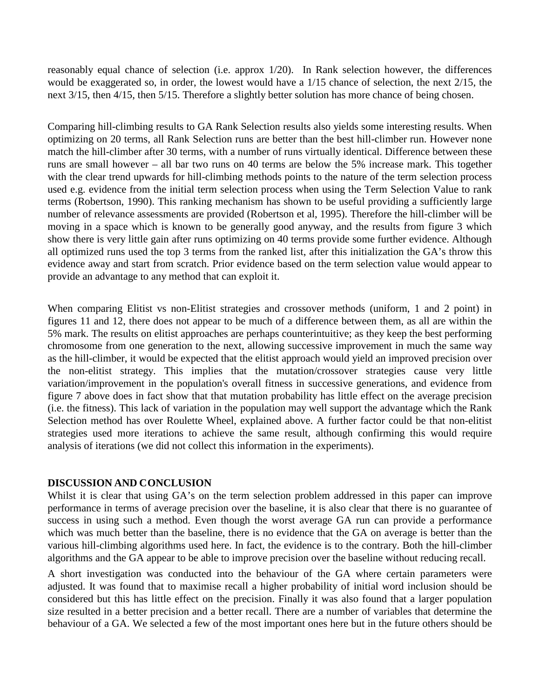reasonably equal chance of selection (i.e. approx 1/20). In Rank selection however, the differences would be exaggerated so, in order, the lowest would have a 1/15 chance of selection, the next 2/15, the next 3/15, then 4/15, then 5/15. Therefore a slightly better solution has more chance of being chosen.

Comparing hill-climbing results to GA Rank Selection results also yields some interesting results. When optimizing on 20 terms, all Rank Selection runs are better than the best hill-climber run. However none match the hill-climber after 30 terms, with a number of runs virtually identical. Difference between these runs are small however – all bar two runs on 40 terms are below the 5% increase mark. This together with the clear trend upwards for hill-climbing methods points to the nature of the term selection process used e.g. evidence from the initial term selection process when using the Term Selection Value to rank terms (Robertson, 1990). This ranking mechanism has shown to be useful providing a sufficiently large number of relevance assessments are provided (Robertson et al, 1995). Therefore the hill-climber will be moving in a space which is known to be generally good anyway, and the results from figure 3 which show there is very little gain after runs optimizing on 40 terms provide some further evidence. Although all optimized runs used the top 3 terms from the ranked list, after this initialization the GA's throw this evidence away and start from scratch. Prior evidence based on the term selection value would appear to provide an advantage to any method that can exploit it.

When comparing Elitist vs non-Elitist strategies and crossover methods (uniform, 1 and 2 point) in figures 11 and 12, there does not appear to be much of a difference between them, as all are within the 5% mark. The results on elitist approaches are perhaps counterintuitive; as they keep the best performing chromosome from one generation to the next, allowing successive improvement in much the same way as the hill-climber, it would be expected that the elitist approach would yield an improved precision over the non-elitist strategy. This implies that the mutation/crossover strategies cause very little variation/improvement in the population's overall fitness in successive generations, and evidence from figure 7 above does in fact show that that mutation probability has little effect on the average precision (i.e. the fitness). This lack of variation in the population may well support the advantage which the Rank Selection method has over Roulette Wheel, explained above. A further factor could be that non-elitist strategies used more iterations to achieve the same result, although confirming this would require analysis of iterations (we did not collect this information in the experiments).

#### **DISCUSSION AND CONCLUSION**

Whilst it is clear that using GA's on the term selection problem addressed in this paper can improve performance in terms of average precision over the baseline, it is also clear that there is no guarantee of success in using such a method. Even though the worst average GA run can provide a performance which was much better than the baseline, there is no evidence that the GA on average is better than the various hill-climbing algorithms used here. In fact, the evidence is to the contrary. Both the hill-climber algorithms and the GA appear to be able to improve precision over the baseline without reducing recall.

A short investigation was conducted into the behaviour of the GA where certain parameters were adjusted. It was found that to maximise recall a higher probability of initial word inclusion should be considered but this has little effect on the precision. Finally it was also found that a larger population size resulted in a better precision and a better recall. There are a number of variables that determine the behaviour of a GA. We selected a few of the most important ones here but in the future others should be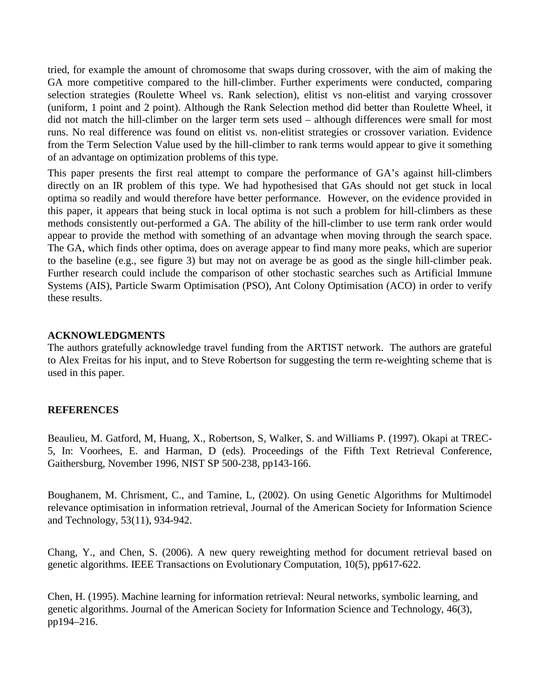tried, for example the amount of chromosome that swaps during crossover, with the aim of making the GA more competitive compared to the hill-climber. Further experiments were conducted, comparing selection strategies (Roulette Wheel vs. Rank selection), elitist vs non-elitist and varying crossover (uniform, 1 point and 2 point). Although the Rank Selection method did better than Roulette Wheel, it did not match the hill-climber on the larger term sets used – although differences were small for most runs. No real difference was found on elitist vs. non-elitist strategies or crossover variation. Evidence from the Term Selection Value used by the hill-climber to rank terms would appear to give it something of an advantage on optimization problems of this type.

This paper presents the first real attempt to compare the performance of GA's against hill-climbers directly on an IR problem of this type. We had hypothesised that GAs should not get stuck in local optima so readily and would therefore have better performance. However, on the evidence provided in this paper, it appears that being stuck in local optima is not such a problem for hill-climbers as these methods consistently out-performed a GA. The ability of the hill-climber to use term rank order would appear to provide the method with something of an advantage when moving through the search space. The GA, which finds other optima, does on average appear to find many more peaks, which are superior to the baseline (e.g., see figure 3) but may not on average be as good as the single hill-climber peak. Further research could include the comparison of other stochastic searches such as Artificial Immune Systems (AIS), Particle Swarm Optimisation (PSO), Ant Colony Optimisation (ACO) in order to verify these results.

#### **ACKNOWLEDGMENTS**

The authors gratefully acknowledge travel funding from the ARTIST network. The authors are grateful to Alex Freitas for his input, and to Steve Robertson for suggesting the term re-weighting scheme that is used in this paper.

#### **REFERENCES**

Beaulieu, M. Gatford, M, Huang, X., Robertson, S, Walker, S. and Williams P. (1997). Okapi at TREC-5, In: Voorhees, E. and Harman, D (eds). Proceedings of the Fifth Text Retrieval Conference, Gaithersburg, November 1996, NIST SP 500-238, pp143-166.

Boughanem, M. Chrisment, C., and Tamine, L, (2002). On using Genetic Algorithms for Multimodel relevance optimisation in information retrieval, Journal of the American Society for Information Science and Technology, 53(11), 934-942.

Chang, Y., and Chen, S. (2006). A new query reweighting method for document retrieval based on genetic algorithms. IEEE Transactions on Evolutionary Computation, 10(5), pp617-622.

Chen, H. (1995). Machine learning for information retrieval: Neural networks, symbolic learning, and genetic algorithms. Journal of the American Society for Information Science and Technology, 46(3), pp194–216.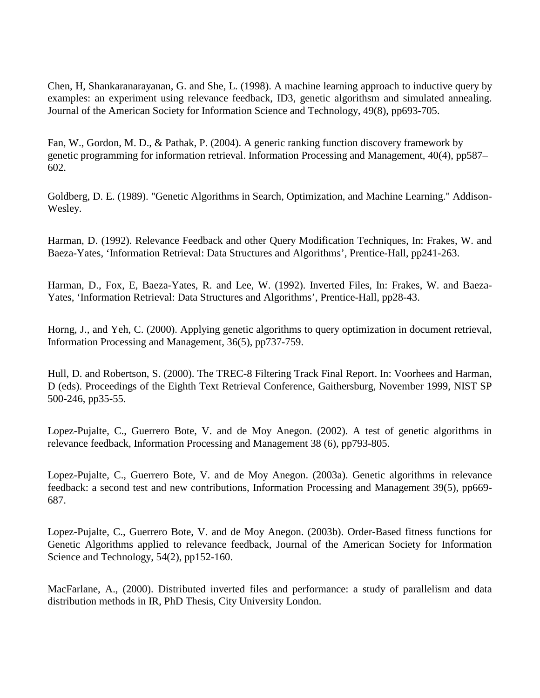Chen, H, Shankaranarayanan, G. and She, L. (1998). A machine learning approach to inductive query by examples: an experiment using relevance feedback, ID3, genetic algorithsm and simulated annealing. Journal of the American Society for Information Science and Technology, 49(8), pp693-705.

Fan, W., Gordon, M. D., & Pathak, P. (2004). A generic ranking function discovery framework by genetic programming for information retrieval. Information Processing and Management, 40(4), pp587– 602.

Goldberg, D. E. (1989). "Genetic Algorithms in Search, Optimization, and Machine Learning." Addison-Wesley.

Harman, D. (1992). Relevance Feedback and other Query Modification Techniques, In: Frakes, W. and Baeza-Yates, 'Information Retrieval: Data Structures and Algorithms', Prentice-Hall, pp241-263.

Harman, D., Fox, E, Baeza-Yates, R. and Lee, W. (1992). Inverted Files, In: Frakes, W. and Baeza-Yates, 'Information Retrieval: Data Structures and Algorithms', Prentice-Hall, pp28-43.

Horng, J., and Yeh, C. (2000). Applying genetic algorithms to query optimization in document retrieval, Information Processing and Management, 36(5), pp737-759.

Hull, D. and Robertson, S. (2000). The TREC-8 Filtering Track Final Report. In: Voorhees and Harman, D (eds). Proceedings of the Eighth Text Retrieval Conference, Gaithersburg, November 1999, NIST SP 500-246, pp35-55.

Lopez-Pujalte, C., Guerrero Bote, V. and de Moy Anegon. (2002). A test of genetic algorithms in relevance feedback, Information Processing and Management 38 (6), pp793-805.

Lopez-Pujalte, C., Guerrero Bote, V. and de Moy Anegon. (2003a). Genetic algorithms in relevance feedback: a second test and new contributions, Information Processing and Management 39(5), pp669- 687.

Lopez-Pujalte, C., Guerrero Bote, V. and de Moy Anegon. (2003b). Order-Based fitness functions for Genetic Algorithms applied to relevance feedback, Journal of the American Society for Information Science and Technology, 54(2), pp152-160.

MacFarlane, A., (2000). Distributed inverted files and performance: a study of parallelism and data distribution methods in IR, PhD Thesis, City University London.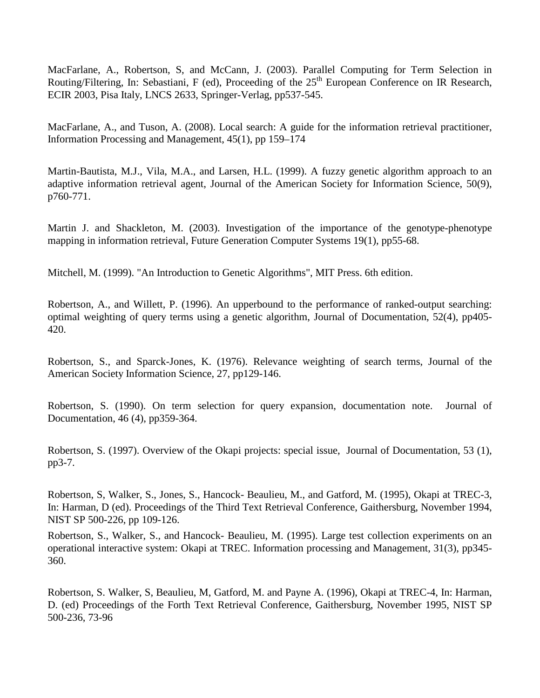MacFarlane, A., Robertson, S, and McCann, J. (2003). Parallel Computing for Term Selection in Routing/Filtering, In: Sebastiani, F (ed), Proceeding of the 25<sup>th</sup> European Conference on IR Research, ECIR 2003, Pisa Italy, LNCS 2633, Springer-Verlag, pp537-545.

MacFarlane, A., and Tuson, A. (2008). Local search: A guide for the information retrieval practitioner, Information Processing and Management, 45(1), pp 159–174

Martin-Bautista, M.J., Vila, M.A., and Larsen, H.L. (1999). A fuzzy genetic algorithm approach to an adaptive information retrieval agent, Journal of the American Society for Information Science, 50(9), p760-771.

Martin J. and Shackleton, M. (2003). Investigation of the importance of the genotype-phenotype mapping in information retrieval, Future Generation Computer Systems 19(1), pp55-68.

Mitchell, M. (1999). "An Introduction to Genetic Algorithms", MIT Press. 6th edition.

Robertson, A., and Willett, P. (1996). An upperbound to the performance of ranked-output searching: optimal weighting of query terms using a genetic algorithm, Journal of Documentation, 52(4), pp405- 420.

Robertson, S., and Sparck-Jones, K. (1976). Relevance weighting of search terms, Journal of the American Society Information Science, 27, pp129-146.

Robertson, S. (1990). On term selection for query expansion, documentation note. Journal of Documentation, 46 (4), pp359-364.

Robertson, S. (1997). Overview of the Okapi projects: special issue, Journal of Documentation, 53 (1), pp3-7.

Robertson, S, Walker, S., Jones, S., Hancock- Beaulieu, M., and Gatford, M. (1995), Okapi at TREC-3, In: Harman, D (ed). Proceedings of the Third Text Retrieval Conference, Gaithersburg, November 1994, NIST SP 500-226, pp 109-126.

Robertson, S., Walker, S., and Hancock- Beaulieu, M. (1995). Large test collection experiments on an operational interactive system: Okapi at TREC. Information processing and Management, 31(3), pp345- 360.

Robertson, S. Walker, S, Beaulieu, M, Gatford, M. and Payne A. (1996), Okapi at TREC-4, In: Harman, D. (ed) Proceedings of the Forth Text Retrieval Conference, Gaithersburg, November 1995, NIST SP 500-236, 73-96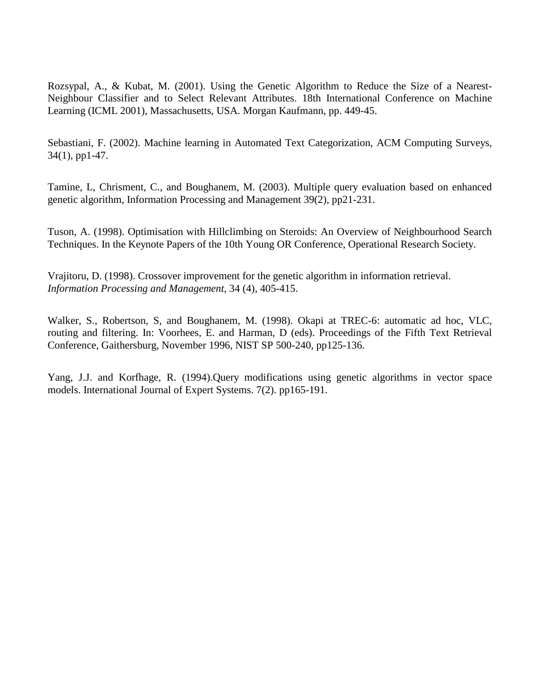Rozsypal, A., & Kubat, M. (2001). Using the Genetic Algorithm to Reduce the Size of a Nearest-Neighbour Classifier and to Select Relevant Attributes. 18th International Conference on Machine Learning (ICML 2001), Massachusetts, USA. Morgan Kaufmann, pp. 449-45.

Sebastiani, F. (2002). Machine learning in Automated Text Categorization, ACM Computing Surveys, 34(1), pp1-47.

Tamine, L, Chrisment, C., and Boughanem, M. (2003). Multiple query evaluation based on enhanced genetic algorithm, Information Processing and Management 39(2), pp21-231.

Tuson, A. (1998). Optimisation with Hillclimbing on Steroids: An Overview of Neighbourhood Search Techniques. In the Keynote Papers of the 10th Young OR Conference, Operational Research Society.

Vrajitoru, D. (1998). Crossover improvement for the genetic algorithm in information retrieval. *Information Processing and Management*, 34 (4), 405-415.

Walker, S., Robertson, S, and Boughanem, M. (1998). Okapi at TREC-6: automatic ad hoc, VLC, routing and filtering. In: Voorhees, E. and Harman, D (eds). Proceedings of the Fifth Text Retrieval Conference, Gaithersburg, November 1996, NIST SP 500-240, pp125-136.

Yang, J.J. and Korfhage, R. (1994).Query modifications using genetic algorithms in vector space models. International Journal of Expert Systems. 7(2). pp165-191.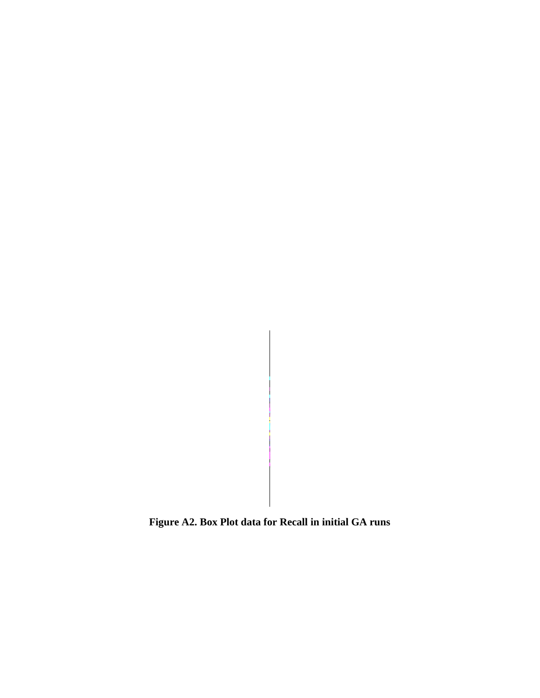**Figure A2. Box Plot data for Recall in initial GA runs**

 $\hat{\boldsymbol{\epsilon}}$ 

Ť.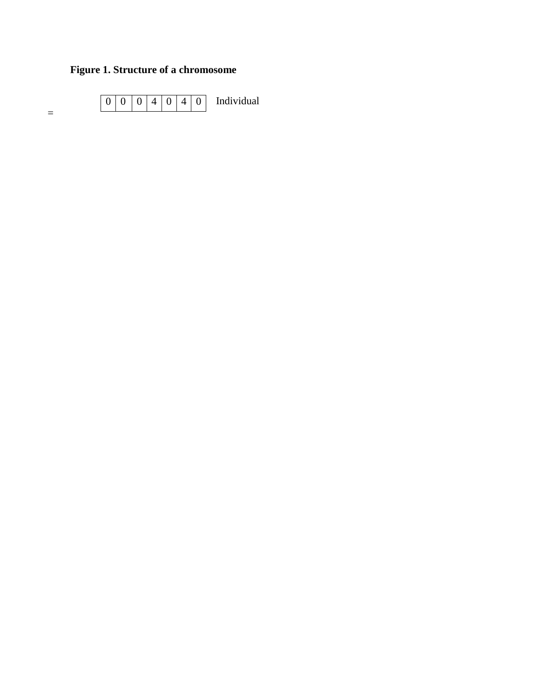### **Figure 1. Structure of a chromosome**

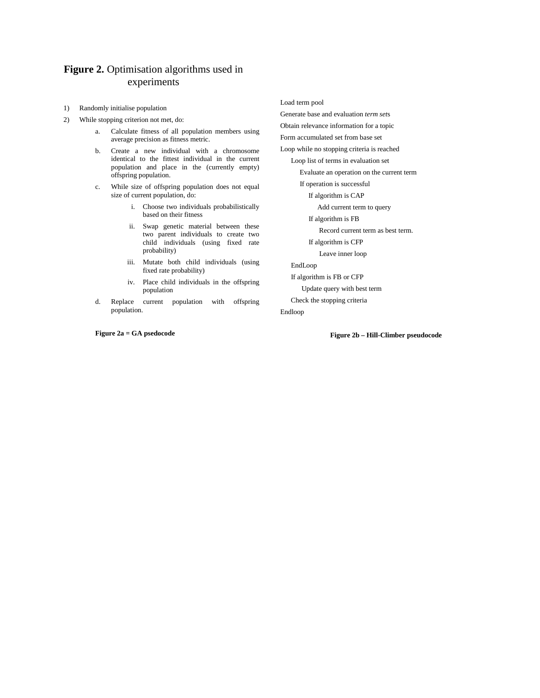#### **Figure 2.** Optimisation algorithms used in experiments

- 1) Randomly initialise population
- 2) While stopping criterion not met, do:
	- a. Calculate fitness of all population members using average precision as fitness metric.
	- b. Create a new individual with a chromosome identical to the fittest individual in the current population and place in the (currently empty) offspring population.
	- c. While size of offspring population does not equal size of current population, do:
		- i. Choose two individuals probabilistically based on their fitness
		- ii. Swap genetic material between these two parent individuals to create two child individuals (using fixed rate probability)
		- iii. Mutate both child individuals (using fixed rate probability)
		- iv. Place child individuals in the offspring population
	- d. Replace current population with offspring population.

**Figure 2a = GA psedocode**

Load term pool

Generate base and evaluation *term set*s Obtain relevance information for a topic Form accumulated set from base set Loop while no stopping criteria is reached Loop list of terms in evaluation set Evaluate an operation on the current term If operation is successful If algorithm is CAP Add current term to query If algorithm is FB Record current term as best term. If algorithm is CFP Leave inner loop EndLoop If algorithm is FB or CFP Update query with best term Check the stopping criteria

Endloop

**Figure 2b – Hill-Climber pseudocode**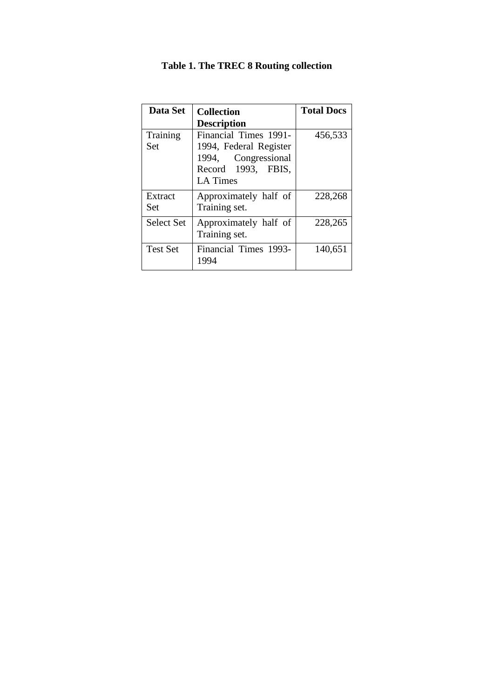| Data Set          | <b>Collection</b>      | <b>Total Docs</b> |
|-------------------|------------------------|-------------------|
|                   | <b>Description</b>     |                   |
| Training          | Financial Times 1991-  | 456,533           |
| Set               | 1994, Federal Register |                   |
|                   | 1994, Congressional    |                   |
|                   | Record 1993, FBIS,     |                   |
|                   | <b>LA</b> Times        |                   |
| Extract           | Approximately half of  | 228,268           |
| Set               | Training set.          |                   |
| <b>Select Set</b> | Approximately half of  | 228,265           |
|                   | Training set.          |                   |
| <b>Test Set</b>   | Financial Times 1993-  | 140,651           |
|                   | 1994                   |                   |

### **Table 1. The TREC 8 Routing collection**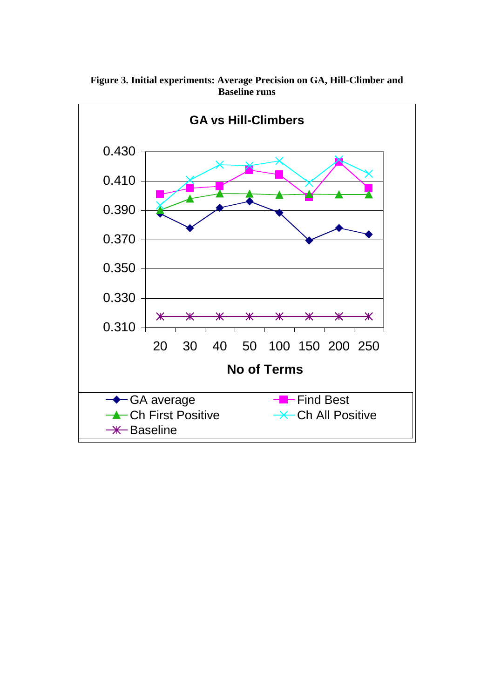

**Figure 3. Initial experiments: Average Precision on GA, Hill-Climber and Baseline runs**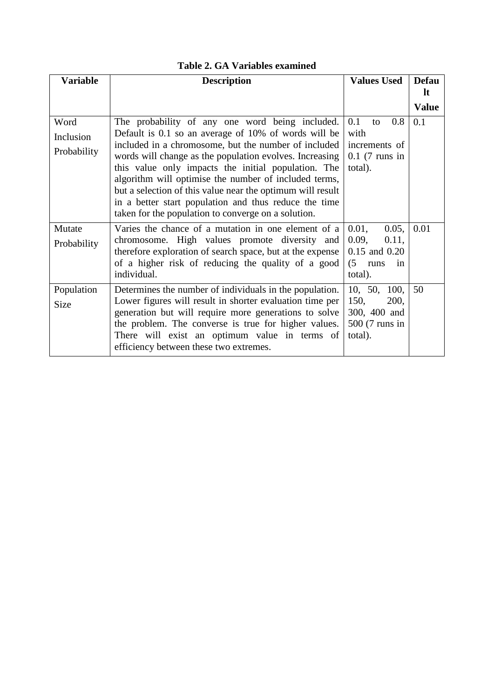| <b>Variable</b>                  | <b>Description</b>                                                                                                                                                                                                                                                                                                                                                                                                                                                                                                       | <b>Values Used</b>                                                                | <b>Defau</b><br>-lt |
|----------------------------------|--------------------------------------------------------------------------------------------------------------------------------------------------------------------------------------------------------------------------------------------------------------------------------------------------------------------------------------------------------------------------------------------------------------------------------------------------------------------------------------------------------------------------|-----------------------------------------------------------------------------------|---------------------|
|                                  |                                                                                                                                                                                                                                                                                                                                                                                                                                                                                                                          |                                                                                   | <b>Value</b>        |
| Word<br>Inclusion<br>Probability | The probability of any one word being included.<br>Default is 0.1 so an average of 10% of words will be<br>included in a chromosome, but the number of included<br>words will change as the population evolves. Increasing<br>this value only impacts the initial population. The<br>algorithm will optimise the number of included terms,<br>but a selection of this value near the optimum will result<br>in a better start population and thus reduce the time<br>taken for the population to converge on a solution. | 0.1<br>0.8<br>to<br>with<br>increments of<br>$0.1$ (7 runs in<br>total).          | 0.1                 |
| Mutate<br>Probability            | Varies the chance of a mutation in one element of a<br>chromosome. High values promote diversity and<br>therefore exploration of search space, but at the expense<br>of a higher risk of reducing the quality of a good<br>individual.                                                                                                                                                                                                                                                                                   | 0.01,<br>0.05,<br>0.09,<br>0.11,<br>0.15 and 0.20<br>(5)<br>runs<br>1n<br>total). | 0.01                |
| Population<br><b>Size</b>        | Determines the number of individuals in the population.<br>Lower figures will result in shorter evaluation time per<br>generation but will require more generations to solve<br>the problem. The converse is true for higher values.<br>There will exist an optimum value in terms of<br>efficiency between these two extremes.                                                                                                                                                                                          | 10, 50,<br>100,<br>150,<br>200,<br>300, 400 and<br>500 (7 runs in<br>total).      | 50                  |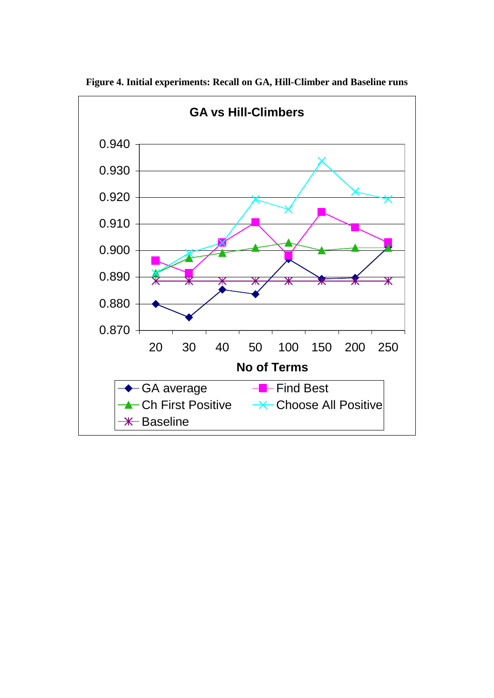

**Figure 4. Initial experiments: Recall on GA, Hill-Climber and Baseline runs**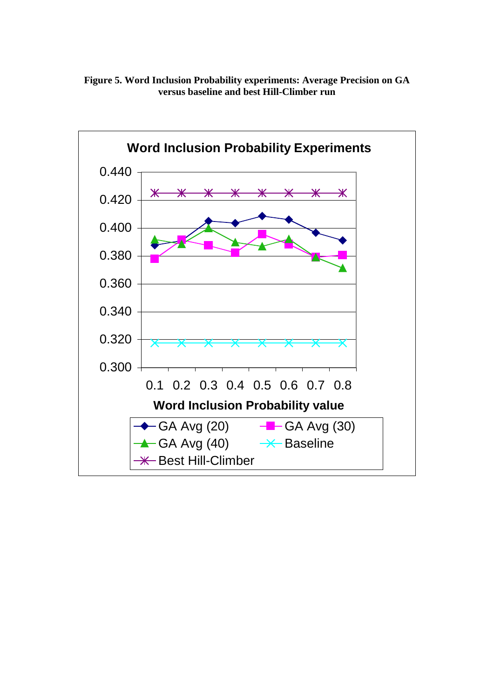**Figure 5. Word Inclusion Probability experiments: Average Precision on GA versus baseline and best Hill-Climber run**

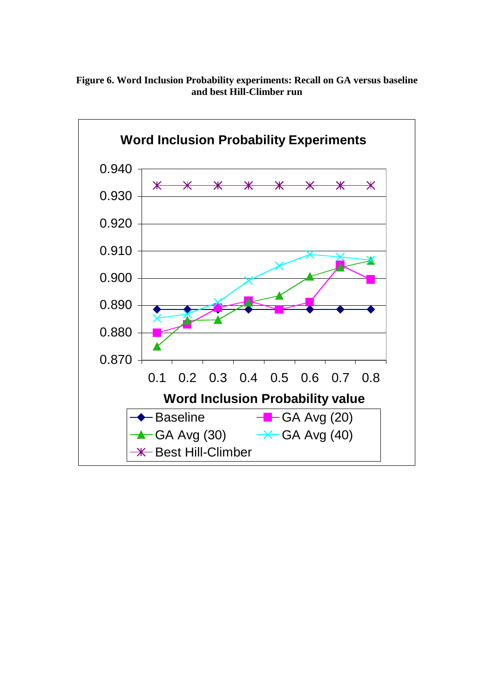

**Figure 6. Word Inclusion Probability experiments: Recall on GA versus baseline and best Hill-Climber run**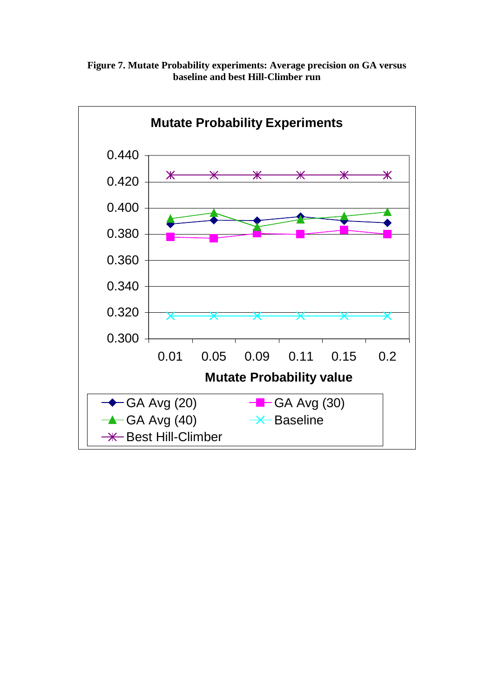

**Figure 7. Mutate Probability experiments: Average precision on GA versus baseline and best Hill-Climber run**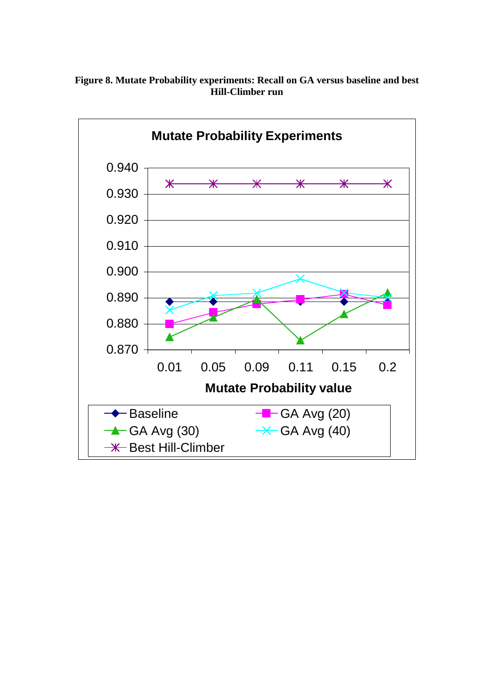

**Figure 8. Mutate Probability experiments: Recall on GA versus baseline and best Hill-Climber run**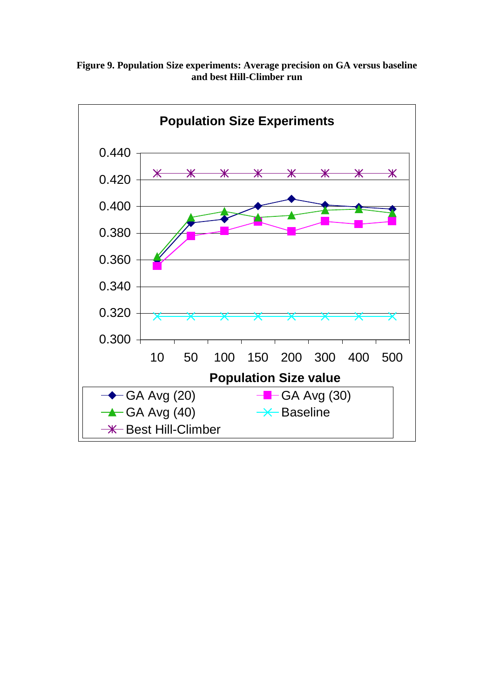![](_page_27_Figure_0.jpeg)

**Figure 9. Population Size experiments: Average precision on GA versus baseline and best Hill-Climber run**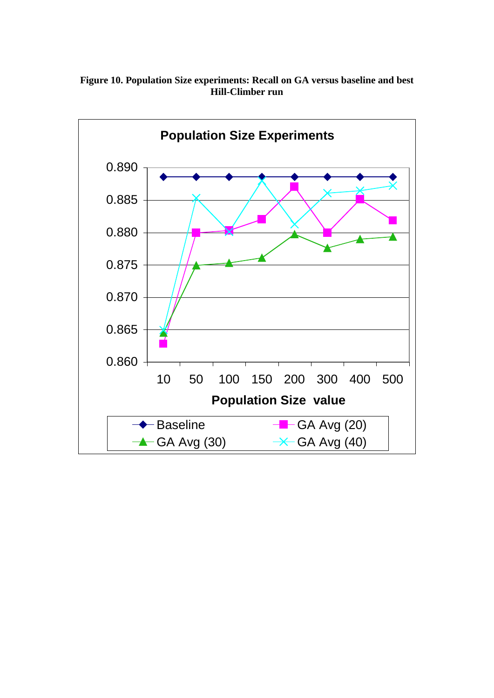![](_page_28_Figure_0.jpeg)

**Figure 10. Population Size experiments: Recall on GA versus baseline and best Hill-Climber run**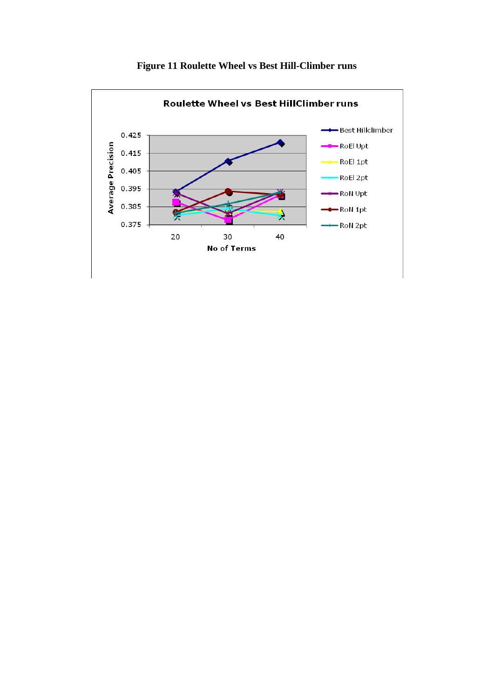![](_page_29_Figure_0.jpeg)

**Figure 11 Roulette Wheel vs Best Hill-Climber runs**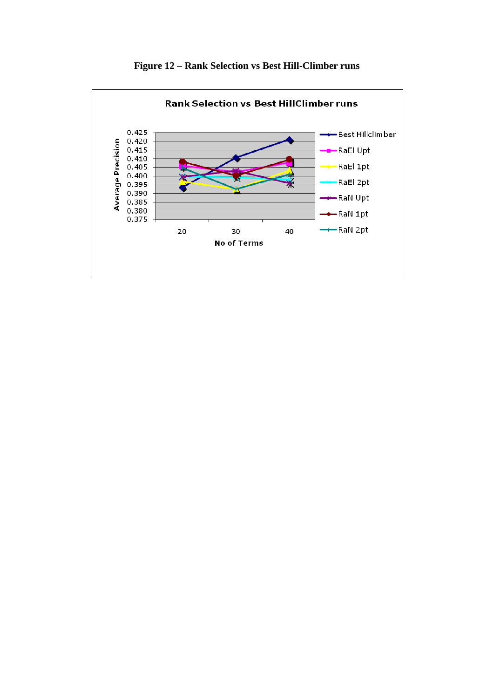![](_page_30_Figure_0.jpeg)

**Figure 12 – Rank Selection vs Best Hill-Climber runs**